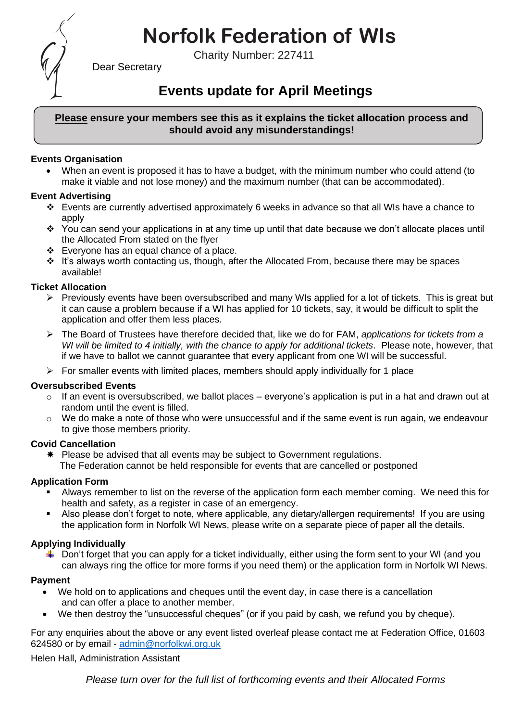# **Norfolk Federation of WIs**

Charity Number: 227411



Dear Secretary

## **Events update for April Meetings**

#### **Please ensure your members see this as it explains the ticket allocation process and should avoid any misunderstandings!**

#### **Events Organisation**

• When an event is proposed it has to have a budget, with the minimum number who could attend (to make it viable and not lose money) and the maximum number (that can be accommodated).

#### **Event Advertising**

- ❖ Events are currently advertised approximately 6 weeks in advance so that all WIs have a chance to apply
- ❖ You can send your applications in at any time up until that date because we don't allocate places until the Allocated From stated on the flyer
- ❖ Everyone has an equal chance of a place.
- ❖ It's always worth contacting us, though, after the Allocated From, because there may be spaces available!

#### **Ticket Allocation**

- $\triangleright$  Previously events have been oversubscribed and many WIs applied for a lot of tickets. This is great but it can cause a problem because if a WI has applied for 10 tickets, say, it would be difficult to split the application and offer them less places.
- ➢ The Board of Trustees have therefore decided that, like we do for FAM, *applications for tickets from a WI will be limited to 4 initially, with the chance to apply for additional tickets*. Please note, however, that if we have to ballot we cannot guarantee that every applicant from one WI will be successful.
- $\triangleright$  For smaller events with limited places, members should apply individually for 1 place

#### **Oversubscribed Events**

- $\circ$  If an event is oversubscribed, we ballot places everyone's application is put in a hat and drawn out at random until the event is filled.
- $\circ$  We do make a note of those who were unsuccessful and if the same event is run again, we endeavour to give those members priority.

#### **Covid Cancellation**

 $*$  Please be advised that all events may be subject to Government regulations. The Federation cannot be held responsible for events that are cancelled or postponed

#### **Application Form**

- Always remember to list on the reverse of the application form each member coming. We need this for health and safety, as a register in case of an emergency.
- Also please don't forget to note, where applicable, any dietary/allergen requirements! If you are using the application form in Norfolk WI News, please write on a separate piece of paper all the details.

### **Applying Individually**

 $\downarrow$  Don't forget that you can apply for a ticket individually, either using the form sent to your WI (and you can always ring the office for more forms if you need them) or the application form in Norfolk WI News.

#### **Payment**

- We hold on to applications and cheques until the event day, in case there is a cancellation and can offer a place to another member.
- We then destroy the "unsuccessful cheques" (or if you paid by cash, we refund you by cheque).

For any enquiries about the above or any event listed overleaf please contact me at Federation Office, 01603 624580 or by email - [admin@norfolkwi.org.uk](mailto:admin@norfolkwi.org.uk) 

Helen Hall, Administration Assistant

*Please turn over for the full list of forthcoming events and their Allocated Forms*